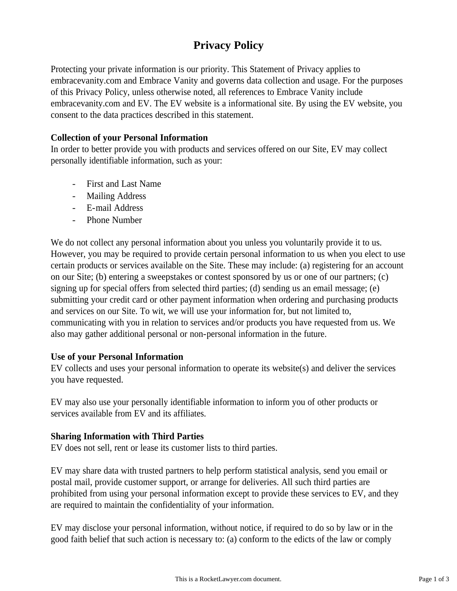# **Privacy Policy**

Protecting your private information is our priority. This Statement of Privacy applies to embracevanity.com and Embrace Vanity and governs data collection and usage. For the purposes of this Privacy Policy, unless otherwise noted, all references to Embrace Vanity include embracevanity.com and EV. The EV website is a informational site. By using the EV website, you consent to the data practices described in this statement.

# **Collection of your Personal Information**

In order to better provide you with products and services offered on our Site, EV may collect personally identifiable information, such as your:

- First and Last Name
- Mailing Address
- E-mail Address
- Phone Number

We do not collect any personal information about you unless you voluntarily provide it to us. However, you may be required to provide certain personal information to us when you elect to use certain products or services available on the Site. These may include: (a) registering for an account on our Site; (b) entering a sweepstakes or contest sponsored by us or one of our partners; (c) signing up for special offers from selected third parties; (d) sending us an email message; (e) submitting your credit card or other payment information when ordering and purchasing products and services on our Site. To wit, we will use your information for, but not limited to, communicating with you in relation to services and/or products you have requested from us. We also may gather additional personal or non-personal information in the future.

### **Use of your Personal Information**

EV collects and uses your personal information to operate its website(s) and deliver the services you have requested.

EV may also use your personally identifiable information to inform you of other products or services available from EV and its affiliates.

### **Sharing Information with Third Parties**

EV does not sell, rent or lease its customer lists to third parties.

EV may share data with trusted partners to help perform statistical analysis, send you email or postal mail, provide customer support, or arrange for deliveries. All such third parties are prohibited from using your personal information except to provide these services to EV, and they are required to maintain the confidentiality of your information.

EV may disclose your personal information, without notice, if required to do so by law or in the good faith belief that such action is necessary to: (a) conform to the edicts of the law or comply